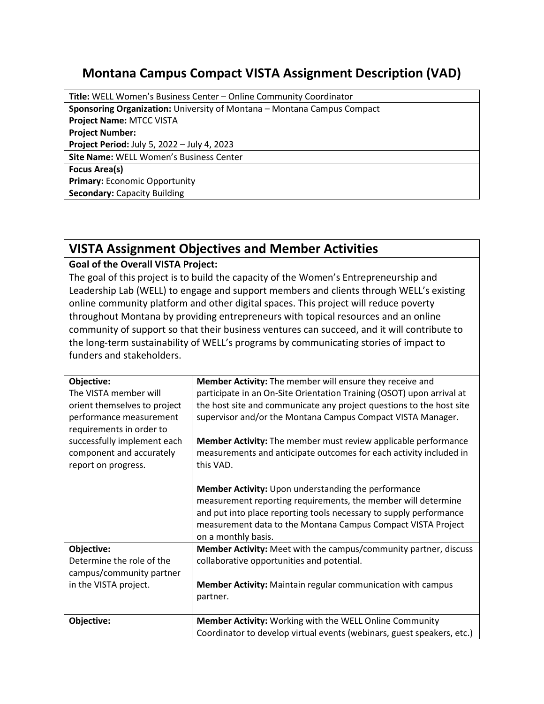## **Montana Campus Compact VISTA Assignment Description (VAD)**

| Title: WELL Women's Business Center - Online Community Coordinator             |  |
|--------------------------------------------------------------------------------|--|
| <b>Sponsoring Organization:</b> University of Montana – Montana Campus Compact |  |
| <b>Project Name: MTCC VISTA</b>                                                |  |
| <b>Project Number:</b>                                                         |  |
| Project Period: July 5, 2022 - July 4, 2023                                    |  |
| Site Name: WELL Women's Business Center                                        |  |
| <b>Focus Area(s)</b>                                                           |  |
| <b>Primary: Economic Opportunity</b>                                           |  |
| <b>Secondary: Capacity Building</b>                                            |  |

## **VISTA Assignment Objectives and Member Activities**

## **Goal of the Overall VISTA Project:**

The goal of this project is to build the capacity of the Women's Entrepreneurship and Leadership Lab (WELL) to engage and support members and clients through WELL's existing online community platform and other digital spaces. This project will reduce poverty throughout Montana by providing entrepreneurs with topical resources and an online community of support so that their business ventures can succeed, and it will contribute to the long-term sustainability of WELL's programs by communicating stories of impact to funders and stakeholders.

| Objective:                                          | Member Activity: The member will ensure they receive and               |
|-----------------------------------------------------|------------------------------------------------------------------------|
| The VISTA member will                               | participate in an On-Site Orientation Training (OSOT) upon arrival at  |
| orient themselves to project                        | the host site and communicate any project questions to the host site   |
| performance measurement<br>requirements in order to | supervisor and/or the Montana Campus Compact VISTA Manager.            |
| successfully implement each                         | Member Activity: The member must review applicable performance         |
| component and accurately                            | measurements and anticipate outcomes for each activity included in     |
| report on progress.                                 | this VAD.                                                              |
|                                                     |                                                                        |
|                                                     | Member Activity: Upon understanding the performance                    |
|                                                     | measurement reporting requirements, the member will determine          |
|                                                     | and put into place reporting tools necessary to supply performance     |
|                                                     | measurement data to the Montana Campus Compact VISTA Project           |
|                                                     | on a monthly basis.                                                    |
| Objective:                                          | Member Activity: Meet with the campus/community partner, discuss       |
| Determine the role of the                           | collaborative opportunities and potential.                             |
| campus/community partner                            |                                                                        |
| in the VISTA project.                               | <b>Member Activity:</b> Maintain regular communication with campus     |
|                                                     | partner.                                                               |
|                                                     |                                                                        |
| Objective:                                          | Member Activity: Working with the WELL Online Community                |
|                                                     | Coordinator to develop virtual events (webinars, guest speakers, etc.) |